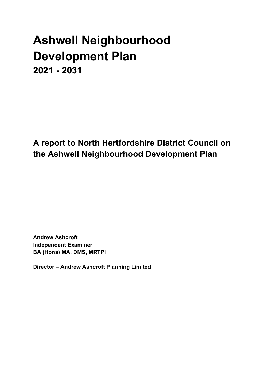# Ashwell Neighbourhood Development Plan 2021 - 2031

A report to North Hertfordshire District Council on the Ashwell Neighbourhood Development Plan

Andrew Ashcroft Independent Examiner BA (Hons) MA, DMS, MRTPI

Director – Andrew Ashcroft Planning Limited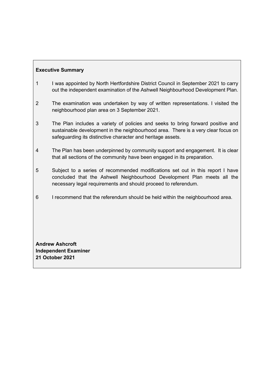# Executive Summary

- 1 I was appointed by North Hertfordshire District Council in September 2021 to carry out the independent examination of the Ashwell Neighbourhood Development Plan.
- 2 The examination was undertaken by way of written representations. I visited the neighbourhood plan area on 3 September 2021.
- 3 The Plan includes a variety of policies and seeks to bring forward positive and sustainable development in the neighbourhood area. There is a very clear focus on safeguarding its distinctive character and heritage assets.
- 4 The Plan has been underpinned by community support and engagement. It is clear that all sections of the community have been engaged in its preparation.
- 5 Subject to a series of recommended modifications set out in this report I have concluded that the Ashwell Neighbourhood Development Plan meets all the necessary legal requirements and should proceed to referendum.
- 6 I recommend that the referendum should be held within the neighbourhood area.

Andrew Ashcroft Independent Examiner 21 October 2021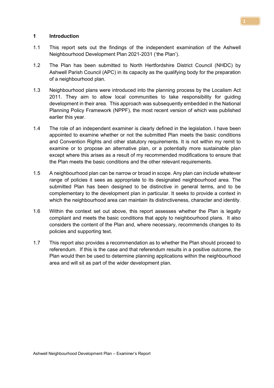#### 1 Introduction

- 1.1 This report sets out the findings of the independent examination of the Ashwell Neighbourhood Development Plan 2021-2031 ('the Plan').
- 1.2 The Plan has been submitted to North Hertfordshire District Council (NHDC) by Ashwell Parish Council (APC) in its capacity as the qualifying body for the preparation of a neighbourhood plan.
- 1.3 Neighbourhood plans were introduced into the planning process by the Localism Act 2011. They aim to allow local communities to take responsibility for guiding development in their area. This approach was subsequently embedded in the National Planning Policy Framework (NPPF), the most recent version of which was published earlier this year.
- 1.4 The role of an independent examiner is clearly defined in the legislation. I have been appointed to examine whether or not the submitted Plan meets the basic conditions and Convention Rights and other statutory requirements. It is not within my remit to examine or to propose an alternative plan, or a potentially more sustainable plan except where this arises as a result of my recommended modifications to ensure that the Plan meets the basic conditions and the other relevant requirements.
- 1.5 A neighbourhood plan can be narrow or broad in scope. Any plan can include whatever range of policies it sees as appropriate to its designated neighbourhood area. The submitted Plan has been designed to be distinctive in general terms, and to be complementary to the development plan in particular. It seeks to provide a context in which the neighbourhood area can maintain its distinctiveness, character and identity.
- 1.6 Within the context set out above, this report assesses whether the Plan is legally compliant and meets the basic conditions that apply to neighbourhood plans. It also considers the content of the Plan and, where necessary, recommends changes to its policies and supporting text.
- 1.7 This report also provides a recommendation as to whether the Plan should proceed to referendum. If this is the case and that referendum results in a positive outcome, the Plan would then be used to determine planning applications within the neighbourhood area and will sit as part of the wider development plan.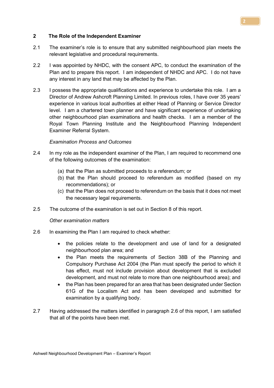#### Ashwell Neighbourhood Development Plan – Examiner's Report

#### 2 The Role of the Independent Examiner

- 2.1 The examiner's role is to ensure that any submitted neighbourhood plan meets the relevant legislative and procedural requirements.
- 2.2 I was appointed by NHDC, with the consent APC, to conduct the examination of the Plan and to prepare this report. I am independent of NHDC and APC. I do not have any interest in any land that may be affected by the Plan.
- 2.3 I possess the appropriate qualifications and experience to undertake this role. I am a Director of Andrew Ashcroft Planning Limited. In previous roles, I have over 35 years' experience in various local authorities at either Head of Planning or Service Director level. I am a chartered town planner and have significant experience of undertaking other neighbourhood plan examinations and health checks. I am a member of the Royal Town Planning Institute and the Neighbourhood Planning Independent Examiner Referral System.

#### Examination Process and Outcomes

- 2.4 In my role as the independent examiner of the Plan, I am required to recommend one of the following outcomes of the examination:
	- (a) that the Plan as submitted proceeds to a referendum; or
	- (b) that the Plan should proceed to referendum as modified (based on my recommendations); or
	- (c) that the Plan does not proceed to referendum on the basis that it does not meet the necessary legal requirements.
- 2.5 The outcome of the examination is set out in Section 8 of this report.

#### Other examination matters

- 2.6 In examining the Plan I am required to check whether:
	- the policies relate to the development and use of land for a designated neighbourhood plan area; and
	- the Plan meets the requirements of Section 38B of the Planning and Compulsory Purchase Act 2004 (the Plan must specify the period to which it has effect, must not include provision about development that is excluded development, and must not relate to more than one neighbourhood area); and
	- the Plan has been prepared for an area that has been designated under Section 61G of the Localism Act and has been developed and submitted for examination by a qualifying body.
- 2.7 Having addressed the matters identified in paragraph 2.6 of this report, I am satisfied that all of the points have been met.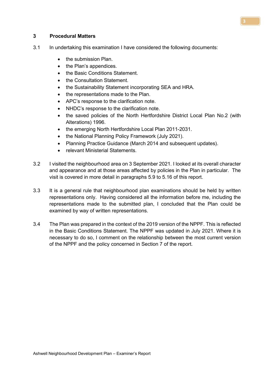#### 3 Procedural Matters

- 3.1 In undertaking this examination I have considered the following documents:
	- the submission Plan.
	- the Plan's appendices.
	- the Basic Conditions Statement.
	- the Consultation Statement.
	- the Sustainability Statement incorporating SEA and HRA.
	- the representations made to the Plan.
	- APC's response to the clarification note.
	- NHDC's response to the clarification note.
	- the saved policies of the North Hertfordshire District Local Plan No.2 (with Alterations) 1996.
	- the emerging North Hertfordshire Local Plan 2011-2031.
	- the National Planning Policy Framework (July 2021).
	- Planning Practice Guidance (March 2014 and subsequent updates).
	- relevant Ministerial Statements.
- 3.2 I visited the neighbourhood area on 3 September 2021. I looked at its overall character and appearance and at those areas affected by policies in the Plan in particular. The visit is covered in more detail in paragraphs 5.9 to 5.16 of this report.
- 3.3 It is a general rule that neighbourhood plan examinations should be held by written representations only. Having considered all the information before me, including the representations made to the submitted plan, I concluded that the Plan could be examined by way of written representations.
- 3.4 The Plan was prepared in the context of the 2019 version of the NPPF. This is reflected in the Basic Conditions Statement. The NPPF was updated in July 2021. Where it is necessary to do so, I comment on the relationship between the most current version of the NPPF and the policy concerned in Section 7 of the report.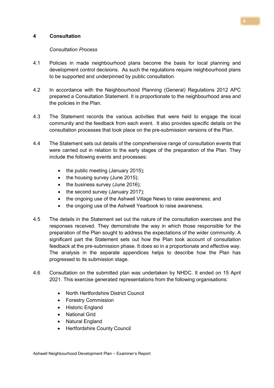#### 4 Consultation

#### Consultation Process

- 4.1 Policies in made neighbourhood plans become the basis for local planning and development control decisions. As such the regulations require neighbourhood plans to be supported and underpinned by public consultation.
- 4.2 In accordance with the Neighbourhood Planning (General) Regulations 2012 APC prepared a Consultation Statement. It is proportionate to the neighbourhood area and the policies in the Plan.
- 4.3 The Statement records the various activities that were held to engage the local community and the feedback from each event. It also provides specific details on the consultation processes that took place on the pre-submission versions of the Plan.
- 4.4 The Statement sets out details of the comprehensive range of consultation events that were carried out in relation to the early stages of the preparation of the Plan. They include the following events and processes:
	- $\bullet$  the public meeting (January 2015);
	- the housing survey (June 2015);
	- $\bullet$  the business survey (June 2016);
	- $\bullet$  the second survey (January 2017);
	- the ongoing use of the Ashwell Village News to raise awareness; and
	- the ongoing use of the Ashwell Yearbook to raise awareness.
- 4.5 The details in the Statement set out the nature of the consultation exercises and the responses received. They demonstrate the way in which those responsible for the preparation of the Plan sought to address the expectations of the wider community. A significant part the Statement sets out how the Plan took account of consultation feedback at the pre-submission phase. It does so in a proportionate and effective way. The analysis in the separate appendices helps to describe how the Plan has progressed to its submission stage.
- 4.6 Consultation on the submitted plan was undertaken by NHDC. It ended on 15 April 2021. This exercise generated representations from the following organisations:
	- North Hertfordshire District Council
	- Forestry Commission
	- Historic England
	- National Grid
	- Natural England
	- Hertfordshire County Council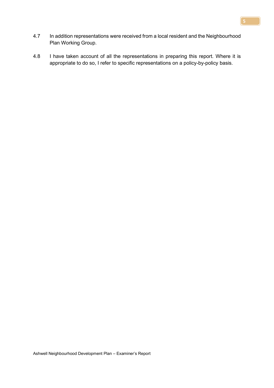- 4.7 In addition representations were received from a local resident and the Neighbourhood Plan Working Group.
- 4.8 I have taken account of all the representations in preparing this report. Where it is appropriate to do so, I refer to specific representations on a policy-by-policy basis.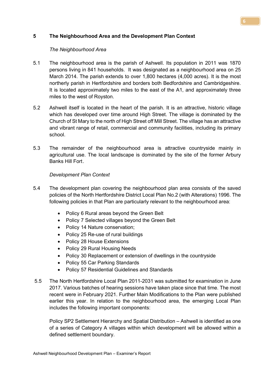#### 5 The Neighbourhood Area and the Development Plan Context

#### The Neighbourhood Area

- 5.1 The neighbourhood area is the parish of Ashwell. Its population in 2011 was 1870 persons living in 841 households. It was designated as a neighbourhood area on 25 March 2014. The parish extends to over 1,800 hectares (4,000 acres). It is the most northerly parish in Hertfordshire and borders both Bedfordshire and Cambridgeshire. It is located approximately two miles to the east of the A1, and approximately three miles to the west of Royston.
- 5.2 Ashwell itself is located in the heart of the parish. It is an attractive, historic village which has developed over time around High Street. The village is dominated by the Church of St Mary to the north of High Street off Mill Street. The village has an attractive and vibrant range of retail, commercial and community facilities, including its primary school.
- 5.3 The remainder of the neighbourhood area is attractive countryside mainly in agricultural use. The local landscape is dominated by the site of the former Arbury Banks Hill Fort .

# Development Plan Context

- 5.4 The development plan covering the neighbourhood plan area consists of the saved policies of the North Hertfordshire District Local Plan No.2 (with Alterations) 1996. The following policies in that Plan are particularly relevant to the neighbourhood area:
	- Policy 6 Rural areas beyond the Green Belt
	- Policy 7 Selected villages beyond the Green Belt
	- Policy 14 Nature conservation:
	- Policy 25 Re-use of rural buildings
	- Policy 28 House Extensions
	- Policy 29 Rural Housing Needs
	- Policy 30 Replacement or extension of dwellings in the countryside
	- Policy 55 Car Parking Standards
	- Policy 57 Residential Guidelines and Standards
- 5.5 The North Hertfordshire Local Plan 2011-2031 was submitted for examination in June 2017. Various batches of hearing sessions have taken place since that time. The most recent were in February 2021. Further Main Modifications to the Plan were published earlier this year. In relation to the neighbourhood area, the emerging Local Plan includes the following important components:

Policy SP2 Settlement Hierarchy and Spatial Distribution – Ashwell is identified as one of a series of Category A villages within which development will be allowed within a defined settlement boundary.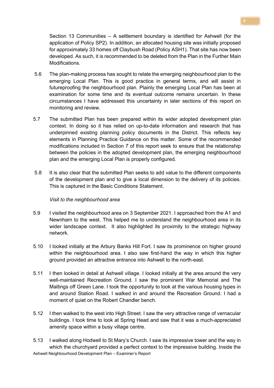Section 13 Communities – A settlement boundary is identified for Ashwell (for the application of Policy SP2). In addition, an allocated housing site was initially proposed for approximately 33 homes off Claybush Road (Policy ASH1). That site has now been developed. As such, it is recommended to be deleted from the Plan in the Further Main Modifications.

- 5.6 The plan-making process has sought to relate the emerging neighbourhood plan to the emerging Local Plan. This is good practice in general terms, and will assist in futureproofing the neighbourhood plan. Plainly the emerging Local Plan has been at examination for some time and its eventual outcome remains uncertain. In these circumstances I have addressed this uncertainty in later sections of this report on monitoring and review.
- 5.7 The submitted Plan has been prepared within its wider adopted development plan context. In doing so it has relied on up-to-date information and research that has underpinned existing planning policy documents in the District. This reflects key elements in Planning Practice Guidance on this matter. Some of the recommended modifications included in Section 7 of this report seek to ensure that the relationship between the policies in the adopted development plan, the emerging neighbourhood plan and the emerging Local Plan is properly configured.
- 5.8 It is also clear that the submitted Plan seeks to add value to the different components of the development plan and to give a local dimension to the delivery of its policies. This is captured in the Basic Conditions Statement.

#### Visit to the neighbourhood area

- 5.9 I visited the neighbourhood area on 3 September 2021. I approached from the A1 and Newnham to the west. This helped me to understand the neighbourhood area in its wider landscape context. It also highlighted its proximity to the strategic highway network.
- 5.10 I looked initially at the Arbury Banks Hill Fort. I saw its prominence on higher ground within the neighbourhood area. I also saw first-hand the way in which this higher ground provided an attractive entrance into Ashwell to the north-east.
- 5.11 I then looked in detail at Ashwell village. I looked initially at the area around the very well-maintained Recreation Ground. I saw the prominent War Memorial and The Maltings off Green Lane. I took the opportunity to look at the various housing types in and around Station Road. I walked in and around the Recreation Ground. I had a moment of quiet on the Robert Chandler bench.
- 5.12 I then walked to the west into High Street. I saw the very attractive range of vernacular buildings. I took time to look at Spring Head and saw that it was a much-appreciated amenity space within a busy village centre.

Ashwell Neighbourhood Development Plan – Examiner's Report 5.13 I walked along Hodwell to St Mary's Church. I saw its impressive tower and the way in which the churchyard provided a perfect context to the impressive building. Inside the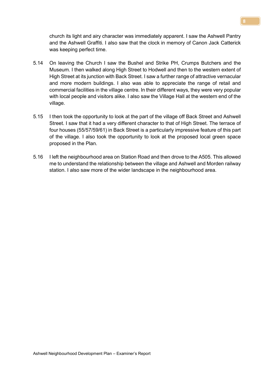church its light and airy character was immediately apparent. I saw the Ashwell Pantry and the Ashwell Graffiti. I also saw that the clock in memory of Canon Jack Catterick was keeping perfect time.

- 5.14 On leaving the Church I saw the Bushel and Strike PH, Crumps Butchers and the Museum. I then walked along High Street to Hodwell and then to the western extent of High Street at its junction with Back Street. I saw a further range of attractive vernacular and more modern buildings. I also was able to appreciate the range of retail and commercial facilities in the village centre. In their different ways, they were very popular with local people and visitors alike. I also saw the Village Hall at the western end of the village.
- 5.15 I then took the opportunity to look at the part of the village off Back Street and Ashwell Street. I saw that it had a very different character to that of High Street. The terrace of four houses (55/57/59/61) in Back Street is a particularly impressive feature of this part of the village. I also took the opportunity to look at the proposed local green space proposed in the Plan.
- 5.16 I left the neighbourhood area on Station Road and then drove to the A505. This allowed me to understand the relationship between the village and Ashwell and Morden railway station. I also saw more of the wider landscape in the neighbourhood area.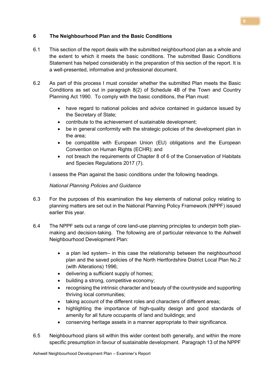#### 6 The Neighbourhood Plan and the Basic Conditions

- 6.1 This section of the report deals with the submitted neighbourhood plan as a whole and the extent to which it meets the basic conditions. The submitted Basic Conditions Statement has helped considerably in the preparation of this section of the report. It is a well-presented, informative and professional document.
- 6.2 As part of this process I must consider whether the submitted Plan meets the Basic Conditions as set out in paragraph 8(2) of Schedule 4B of the Town and Country Planning Act 1990. To comply with the basic conditions, the Plan must:
	- have regard to national policies and advice contained in guidance issued by the Secretary of State;
	- contribute to the achievement of sustainable development;
	- be in general conformity with the strategic policies of the development plan in the area;
	- be compatible with European Union (EU) obligations and the European Convention on Human Rights (ECHR); and
	- not breach the requirements of Chapter 8 of 6 of the Conservation of Habitats and Species Regulations 2017 (7).

I assess the Plan against the basic conditions under the following headings.

#### National Planning Policies and Guidance

- 6.3 For the purposes of this examination the key elements of national policy relating to planning matters are set out in the National Planning Policy Framework (NPPF) issued earlier this year.
- 6.4 The NPPF sets out a range of core land-use planning principles to underpin both planmaking and decision-taking. The following are of particular relevance to the Ashwell Neighbourhood Development Plan:
	- a plan led system– in this case the relationship between the neighbourhood plan and the saved policies of the North Hertfordshire District Local Plan No.2 (with Alterations) 1996;
	- delivering a sufficient supply of homes;
	- building a strong, competitive economy;
	- recognising the intrinsic character and beauty of the countryside and supporting thriving local communities;
	- taking account of the different roles and characters of different areas;
	- highlighting the importance of high-quality design and good standards of amenity for all future occupants of land and buildings; and
	- conserving heritage assets in a manner appropriate to their significance.
- 6.5 Neighbourhood plans sit within this wider context both generally, and within the more specific presumption in favour of sustainable development. Paragraph 13 of the NPPF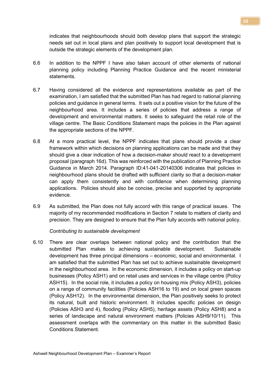indicates that neighbourhoods should both develop plans that support the strategic needs set out in local plans and plan positively to support local development that is outside the strategic elements of the development plan.

- 6.6 In addition to the NPPF I have also taken account of other elements of national planning policy including Planning Practice Guidance and the recent ministerial statements.
- 6.7 Having considered all the evidence and representations available as part of the examination, I am satisfied that the submitted Plan has had regard to national planning policies and guidance in general terms. It sets out a positive vision for the future of the neighbourhood area. It includes a series of policies that address a range of development and environmental matters. It seeks to safeguard the retail role of the village centre. The Basic Conditions Statement maps the policies in the Plan against the appropriate sections of the NPPF.
- 6.8 At a more practical level, the NPPF indicates that plans should provide a clear framework within which decisions on planning applications can be made and that they should give a clear indication of how a decision-maker should react to a development proposal (paragraph 16d). This was reinforced with the publication of Planning Practice Guidance in March 2014. Paragraph ID:41-041-20140306 indicates that policies in neighbourhood plans should be drafted with sufficient clarity so that a decision-maker can apply them consistently and with confidence when determining planning applications. Policies should also be concise, precise and supported by appropriate evidence.
- 6.9 As submitted, the Plan does not fully accord with this range of practical issues. The majority of my recommended modifications in Section 7 relate to matters of clarity and precision. They are designed to ensure that the Plan fully accords with national policy.

Contributing to sustainable development

6.10 There are clear overlaps between national policy and the contribution that the submitted Plan makes to achieving sustainable development. Sustainable development has three principal dimensions – economic, social and environmental. I am satisfied that the submitted Plan has set out to achieve sustainable development in the neighbourhood area. In the economic dimension, it includes a policy on start-up businesses (Policy ASH1) and on retail uses and services in the village centre (Policy ASH15). In the social role, it includes a policy on housing mix (Policy ASH3), policies on a range of community facilities (Policies ASH16 to 19) and on local green spaces (Policy ASH12). In the environmental dimension, the Plan positively seeks to protect its natural, built and historic environment. It includes specific policies on design (Policies ASH3 and 4), flooding (Policy ASH5), heritage assets (Policy ASH8) and a series of landscape and natural environment matters (Policies ASH9/10/11). This assessment overlaps with the commentary on this matter in the submitted Basic Conditions Statement.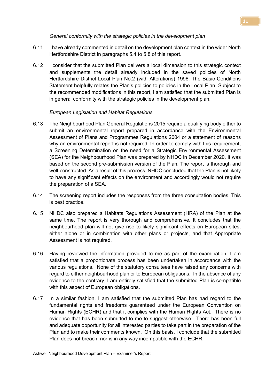#### General conformity with the strategic policies in the development plan

- 6.11 I have already commented in detail on the development plan context in the wider North Hertfordshire District in paragraphs 5.4 to 5.8 of this report.
- 6.12 I consider that the submitted Plan delivers a local dimension to this strategic context and supplements the detail already included in the saved policies of North Hertfordshire District Local Plan No.2 (with Alterations) 1996. The Basic Conditions Statement helpfully relates the Plan's policies to policies in the Local Plan. Subject to the recommended modifications in this report, I am satisfied that the submitted Plan is in general conformity with the strategic policies in the development plan.

#### European Legislation and Habitat Regulations

- 6.13 The Neighbourhood Plan General Regulations 2015 require a qualifying body either to submit an environmental report prepared in accordance with the Environmental Assessment of Plans and Programmes Regulations 2004 or a statement of reasons why an environmental report is not required. In order to comply with this requirement, a Screening Determination on the need for a Strategic Environmental Assessment (SEA) for the Neighbourhood Plan was prepared by NHDC in December 2020. It was based on the second pre-submission version of the Plan. The report is thorough and well-constructed. As a result of this process, NHDC concluded that the Plan is not likely to have any significant effects on the environment and accordingly would not require the preparation of a SEA.
- 6.14 The screening report includes the responses from the three consultation bodies. This is best practice.
- 6.15 NHDC also prepared a Habitats Regulations Assessment (HRA) of the Plan at the same time. The report is very thorough and comprehensive. It concludes that the neighbourhood plan will not give rise to likely significant effects on European sites, either alone or in combination with other plans or projects, and that Appropriate Assessment is not required.
- 6.16 Having reviewed the information provided to me as part of the examination, I am satisfied that a proportionate process has been undertaken in accordance with the various regulations. None of the statutory consultees have raised any concerns with regard to either neighbourhood plan or to European obligations. In the absence of any evidence to the contrary, I am entirely satisfied that the submitted Plan is compatible with this aspect of European obligations.
- 6.17 In a similar fashion, I am satisfied that the submitted Plan has had regard to the fundamental rights and freedoms guaranteed under the European Convention on Human Rights (ECHR) and that it complies with the Human Rights Act. There is no evidence that has been submitted to me to suggest otherwise. There has been full and adequate opportunity for all interested parties to take part in the preparation of the Plan and to make their comments known. On this basis, I conclude that the submitted Plan does not breach, nor is in any way incompatible with the ECHR.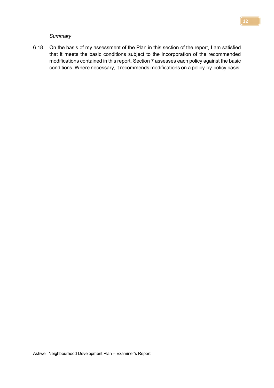**Summary** 

6.18 On the basis of my assessment of the Plan in this section of the report, I am satisfied that it meets the basic conditions subject to the incorporation of the recommended modifications contained in this report. Section 7 assesses each policy against the basic conditions. Where necessary, it recommends modifications on a policy-by-policy basis.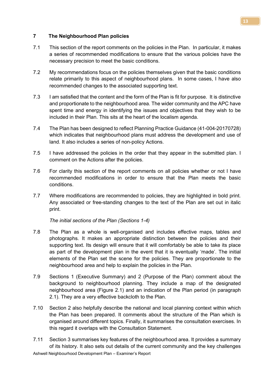#### 7 The Neighbourhood Plan policies

- 7.1 This section of the report comments on the policies in the Plan. In particular, it makes a series of recommended modifications to ensure that the various policies have the necessary precision to meet the basic conditions.
- 7.2 My recommendations focus on the policies themselves given that the basic conditions relate primarily to this aspect of neighbourhood plans. In some cases, I have also recommended changes to the associated supporting text.
- 7.3 I am satisfied that the content and the form of the Plan is fit for purpose. It is distinctive and proportionate to the neighbourhood area. The wider community and the APC have spent time and energy in identifying the issues and objectives that they wish to be included in their Plan. This sits at the heart of the localism agenda.
- 7.4 The Plan has been designed to reflect Planning Practice Guidance (41-004-20170728) which indicates that neighbourhood plans must address the development and use of land. It also includes a series of non-policy Actions.
- 7.5 I have addressed the policies in the order that they appear in the submitted plan. I comment on the Actions after the policies.
- 7.6 For clarity this section of the report comments on all policies whether or not I have recommended modifications in order to ensure that the Plan meets the basic conditions.
- 7.7 Where modifications are recommended to policies, they are highlighted in bold print. Any associated or free-standing changes to the text of the Plan are set out in italic print.

The initial sections of the Plan (Sections 1-4)

- 7.8 The Plan as a whole is well-organised and includes effective maps, tables and photographs. It makes an appropriate distinction between the policies and their supporting text. Its design will ensure that it will comfortably be able to take its place as part of the development plan in the event that it is eventually 'made'. The initial elements of the Plan set the scene for the policies. They are proportionate to the neighbourhood area and help to explain the policies in the Plan.
- 7.9 Sections 1 (Executive Summary) and 2 (Purpose of the Plan) comment about the background to neighbourhood planning. They include a map of the designated neighbourhood area (Figure 2.1) and an indication of the Plan period (in paragraph 2.1). They are a very effective backcloth to the Plan.
- 7.10 Section 2 also helpfully describe the national and local planning context within which the Plan has been prepared. It comments about the structure of the Plan which is organised around different topics. Finally, it summarises the consultation exercises. In this regard it overlaps with the Consultation Statement.
- 7.11 Section 3 summarises key features of the neighbourhood area. It provides a summary of its history. It also sets out details of the current community and the key challenges

13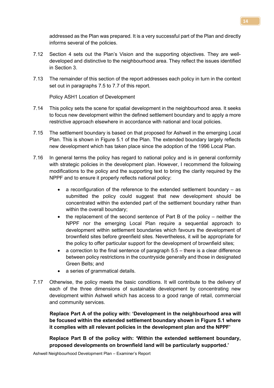addressed as the Plan was prepared. It is a very successful part of the Plan and directly informs several of the policies.

- 7.12 Section 4 sets out the Plan's Vision and the supporting objectives. They are welldeveloped and distinctive to the neighbourhood area. They reflect the issues identified in Section 3.
- 7.13 The remainder of this section of the report addresses each policy in turn in the context set out in paragraphs 7.5 to 7.7 of this report.

Policy ASH1 Location of Development

- 7.14 This policy sets the scene for spatial development in the neighbourhood area. It seeks to focus new development within the defined settlement boundary and to apply a more restrictive approach elsewhere in accordance with national and local policies.
- 7.15 The settlement boundary is based on that proposed for Ashwell in the emerging Local Plan. This is shown in Figure 5.1 of the Plan. The extended boundary largely reflects new development which has taken place since the adoption of the 1996 Local Plan.
- 7.16 In general terms the policy has regard to national policy and is in general conformity with strategic policies in the development plan. However, I recommend the following modifications to the policy and the supporting text to bring the clarity required by the NPPF and to ensure it properly reflects national policy:
	- a reconfiguration of the reference to the extended settlement boundary  $-$  as submitted the policy could suggest that new development should be concentrated within the extended part of the settlement boundary rather than within the overall boundary;
	- the replacement of the second sentence of Part B of the policy neither the NPPF nor the emerging Local Plan require a sequential approach to development within settlement boundaries which favours the development of brownfield sites before greenfield sites. Nevertheless, it will be appropriate for the policy to offer particular support for the development of brownfield sites;
	- $\bullet$  a correction to the final sentence of paragraph  $5.5$  there is a clear difference between policy restrictions in the countryside generally and those in designated Green Belts; and
	- a series of grammatical details.
- 7.17 Otherwise, the policy meets the basic conditions. It will contribute to the delivery of each of the three dimensions of sustainable development by concentrating new development within Ashwell which has access to a good range of retail, commercial and community services.

 Replace Part A of the policy with: 'Development in the neighbourhood area will be focused within the extended settlement boundary shown in Figure 5.1 where it complies with all relevant policies in the development plan and the NPPF'

Replace Part B of the policy with: 'Within the extended settlement boundary, proposed developments on brownfield land will be particularly supported.'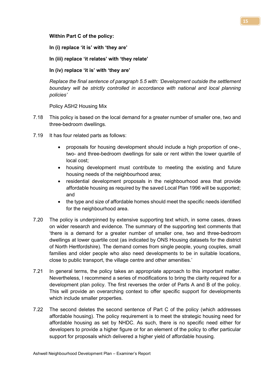Within Part C of the policy:

In (i) replace 'it is' with 'they are'

In (iii) replace 'it relates' with 'they relate'

In (iv) replace 'it is' with 'they are'

Replace the final sentence of paragraph 5.5 with: 'Development outside the settlement boundary will be strictly controlled in accordance with national and local planning policies'

Policy ASH2 Housing Mix

- 7.18 This policy is based on the local demand for a greater number of smaller one, two and three-bedroom dwellings.
- 7.19 It has four related parts as follows:
	- proposals for housing development should include a high proportion of one-, two- and three-bedroom dwellings for sale or rent within the lower quartile of local cost;
	- housing development must contribute to meeting the existing and future housing needs of the neighbourhood area;
	- residential development proposals in the neighbourhood area that provide affordable housing as required by the saved Local Plan 1996 will be supported; and
	- the type and size of affordable homes should meet the specific needs identified for the neighbourhood area.
- 7.20 The policy is underpinned by extensive supporting text which, in some cases, draws on wider research and evidence. The summary of the supporting text comments that 'there is a demand for a greater number of smaller one, two and three-bedroom dwellings at lower quartile cost (as indicated by ONS Housing datasets for the district of North Hertfordshire). The demand comes from single people, young couples, small families and older people who also need developments to be in suitable locations, close to public transport, the village centre and other amenities.'
- 7.21 In general terms, the policy takes an appropriate approach to this important matter. Nevertheless, I recommend a series of modifications to bring the clarity required for a development plan policy. The first reverses the order of Parts A and B of the policy. This will provide an overarching context to offer specific support for developments which include smaller properties.
- 7.22 The second deletes the second sentence of Part C of the policy (which addresses affordable housing). The policy requirement is to meet the strategic housing need for affordable housing as set by NHDC. As such, there is no specific need either for developers to provide a higher figure or for an element of the policy to offer particular support for proposals which delivered a higher yield of affordable housing.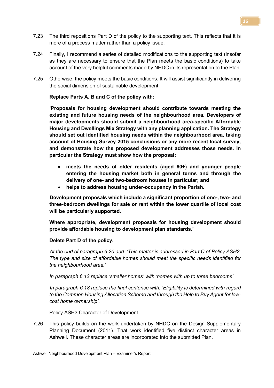- 7.23 The third repositions Part D of the policy to the supporting text. This reflects that it is more of a process matter rather than a policy issue.
- 7.24 Finally, I recommend a series of detailed modifications to the supporting text (insofar as they are necessary to ensure that the Plan meets the basic conditions) to take account of the very helpful comments made by NHDC in its representation to the Plan.
- 7.25 Otherwise. the policy meets the basic conditions. It will assist significantly in delivering the social dimension of sustainable development.

Replace Parts A, B and C of the policy with:

 'Proposals for housing development should contribute towards meeting the existing and future housing needs of the neighbourhood area. Developers of major developments should submit a neighbourhood area-specific Affordable Housing and Dwellings Mix Strategy with any planning application. The Strategy should set out identified housing needs within the neighbourhood area, taking account of Housing Survey 2015 conclusions or any more recent local survey, and demonstrate how the proposed development addresses those needs. In particular the Strategy must show how the proposal:

- meets the needs of older residents (aged 60+) and younger people entering the housing market both in general terms and through the delivery of one- and two-bedroom houses in particular; and
- helps to address housing under-occupancy in the Parish.

 Development proposals which include a significant proportion of one-, two- and three-bedroom dwellings for sale or rent within the lower quartile of local cost will be particularly supported.

Where appropriate, development proposals for housing development should provide affordable housing to development plan standards.'

Delete Part D of the policy.

 At the end of paragraph 6.20 add: 'This matter is addressed in Part C of Policy ASH2. The type and size of affordable homes should meet the specific needs identified for the neighbourhood area.'

In paragraph 6.13 replace 'smaller homes' with 'homes with up to three bedrooms'

 In paragraph 6.18 replace the final sentence with: 'Eligibility is determined with regard to the Common Housing Allocation Scheme and through the Help to Buy Agent for lowcost home ownership'.

Policy ASH3 Character of Development

7.26 This policy builds on the work undertaken by NHDC on the Design Supplementary Planning Document (2011). That work identified five distinct character areas in Ashwell. These character areas are incorporated into the submitted Plan.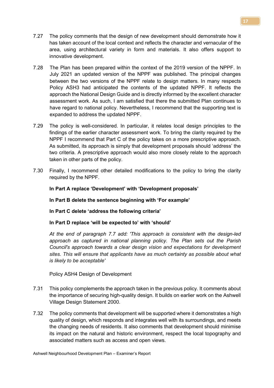- 7.27 The policy comments that the design of new development should demonstrate how it has taken account of the local context and reflects the character and vernacular of the area, using architectural variety in form and materials. It also offers support to innovative development.
- 7.28 The Plan has been prepared within the context of the 2019 version of the NPPF. In July 2021 an updated version of the NPPF was published. The principal changes between the two versions of the NPPF relate to design matters. In many respects Policy ASH3 had anticipated the contents of the updated NPPF. It reflects the approach the National Design Guide and is directly informed by the excellent character assessment work. As such, I am satisfied that there the submitted Plan continues to have regard to national policy. Nevertheless, I recommend that the supporting text is expanded to address the updated NPPF.
- 7.29 The policy is well-considered. In particular, it relates local design principles to the findings of the earlier character assessment work. To bring the clarity required by the NPPF I recommend that Part C of the policy takes on a more prescriptive approach. As submitted, its approach is simply that development proposals should 'address' the two criteria. A prescriptive approach would also more closely relate to the approach taken in other parts of the policy.
- 7.30 Finally, I recommend other detailed modifications to the policy to bring the clarity required by the NPPF.

#### In Part A replace 'Development' with 'Development proposals'

In Part B delete the sentence beginning with 'For example'

#### In Part C delete 'address the following criteria'

In Part D replace 'will be expected to' with 'should'

At the end of paragraph 7.7 add: 'This approach is consistent with the design-led approach as captured in national planning policy. The Plan sets out the Parish Council's approach towards a clear design vision and expectations for development sites. This will ensure that applicants have as much certainty as possible about what is likely to be acceptable'

Policy ASH4 Design of Development

- 7.31 This policy complements the approach taken in the previous policy. It comments about the importance of securing high-quality design. It builds on earlier work on the Ashwell Village Design Statement 2000.
- 7.32 The policy comments that development will be supported where it demonstrates a high quality of design, which responds and integrates well with its surroundings, and meets the changing needs of residents. It also comments that development should minimise its impact on the natural and historic environment, respect the local topography and associated matters such as access and open views.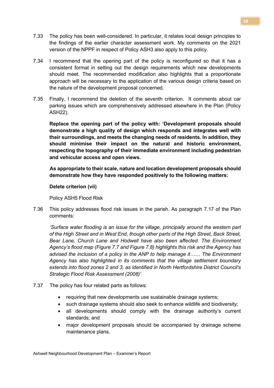- 7.33 The policy has been well-considered. In particular, it relates local design principles to the findings of the earlier character assessment work. My comments on the 2021 version of the NPPF in respect of Policy ASH3 also apply to this policy.
- 7.34 I recommend that the opening part of the policy is reconfigured so that it has a consistent format in setting out the design requirements which new developments should meet. The recommended modification also highlights that a proportionate approach will be necessary to the application of the various design criteria based on the nature of the development proposal concerned.
- 7.35 Finally, I recommend the deletion of the seventh criterion. It comments about car parking issues which are comprehensively addressed elsewhere in the Plan (Policy ASH22).

Replace the opening part of the policy with: 'Development proposals should demonstrate a high quality of design which responds and integrates well with their surroundings, and meets the changing needs of residents. In addition, they should minimise their impact on the natural and historic environment, respecting the topography of their immediate environment including pedestrian and vehicular access and open views.

 As appropriate to their scale, nature and location development proposals should demonstrate how they have responded positively to the following matters:

#### Delete criterion (vii)

Policy ASH5 Flood Risk

7.36 This policy addresses flood risk issues in the parish. As paragraph 7.17 of the Plan comments:

 'Surface water flooding is an issue for the village, principally around the western part of the High Street and in West End, though other parts of the High Street, Back Street, Bear Lane, Church Lane and Hodwell have also been affected. The Environment Agency's flood map (Figure 7.7 and Figure 7.8) highlights this risk and the Agency has advised the inclusion of a policy in the ANP to help manage it…… The Environment Agency has also highlighted in its comments that the village settlement boundary extends into flood zones 2 and 3, as identified in North Hertfordshire District Council's Strategic Flood Risk Assessment (2008)'

- 7.37 The policy has four related parts as follows:
	- requiring that new developments use sustainable drainage systems;
	- such drainage systems should also seek to enhance wildlife and biodiversity;
	- all developments should comply with the drainage authority's current standards; and
	- major development proposals should be accompanied by drainage scheme maintenance plans.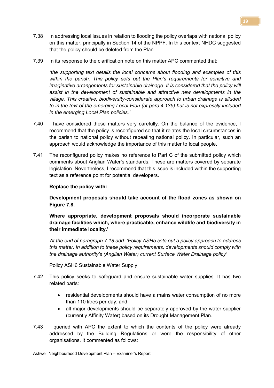- 7.38 In addressing local issues in relation to flooding the policy overlaps with national policy on this matter, principally in Section 14 of the NPPF. In this context NHDC suggested that the policy should be deleted from the Plan.
- 7.39 In its response to the clarification note on this matter APC commented that:

 'the supporting text details the local concerns about flooding and examples of this within the parish. This policy sets out the Plan's requirements for sensitive and imaginative arrangements for sustainable drainage. It is considered that the policy will assist in the development of sustainable and attractive new developments in the village. This creative, biodiversity-considerate approach to urban drainage is alluded to in the text of the emerging Local Plan (at para 4.135) but is not expressly included in the emerging Local Plan policies.'

- 7.40 I have considered these matters very carefully. On the balance of the evidence, I recommend that the policy is reconfigured so that it relates the local circumstances in the parish to national policy without repeating national policy. In particular, such an approach would acknowledge the importance of this matter to local people.
- 7.41 The reconfigured policy makes no reference to Part C of the submitted policy which comments about Anglian Water's standards. These are matters covered by separate legislation. Nevertheless, I recommend that this issue is included within the supporting text as a reference point for potential developers.

#### Replace the policy with:

 Development proposals should take account of the flood zones as shown on Figure 7.8.

 Where appropriate, development proposals should incorporate sustainable drainage facilities which, where practicable, enhance wildlife and biodiversity in their immediate locality.'

 At the end of paragraph 7.18 add: 'Policy ASH5 sets out a policy approach to address this matter. In addition to these policy requirements, developments should comply with the drainage authority's (Anglian Water) current Surface Water Drainage policy'

Policy ASH6 Sustainable Water Supply

Ashwell Neighbourhood Development Plan – Examiner's Report

- 7.42 This policy seeks to safeguard and ensure sustainable water supplies. It has two related parts:
	- residential developments should have a mains water consumption of no more than 110 litres per day; and
	- all major developments should be separately approved by the water supplier (currently Affinity Water) based on its Drought Management Plan.
- 7.43 I queried with APC the extent to which the contents of the policy were already addressed by the Building Regulations or were the responsibility of other organisations. It commented as follows: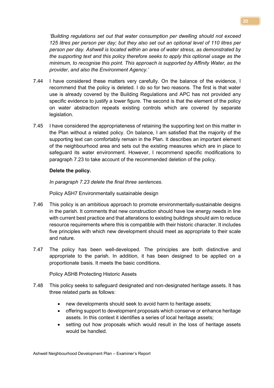'Building regulations set out that water consumption per dwelling should not exceed 125 litres per person per day; but they also set out an optional level of 110 litres per person per day. Ashwell is located within an area of water stress, as demonstrated by the supporting text and this policy therefore seeks to apply this optional usage as the minimum, to recognise this point. This approach is supported by Affinity Water, as the provider, and also the Environment Agency.'

- 7.44 I have considered these matters very carefully. On the balance of the evidence, I recommend that the policy is deleted. I do so for two reasons. The first is that water use is already covered by the Building Regulations and APC has not provided any specific evidence to justify a lower figure. The second is that the element of the policy on water abstraction repeats existing controls which are covered by separate legislation.
- 7.45 I have considered the appropriateness of retaining the supporting text on this matter in the Plan without a related policy. On balance, I am satisfied that the majority of the supporting text can comfortably remain in the Plan. It describes an important element of the neighbourhood area and sets out the existing measures which are in place to safeguard its water environment. However, I recommend specific modifications to paragraph 7.23 to take account of the recommended deletion of the policy.

#### Delete the policy.

In paragraph 7.23 delete the final three sentences.

Policy ASH7 Environmentally sustainable design

- 7.46 This policy is an ambitious approach to promote environmentally-sustainable designs in the parish. It comments that new construction should have low energy needs in line with current best practice and that alterations to existing buildings should aim to reduce resource requirements where this is compatible with their historic character. It includes five principles with which new development should meet as appropriate to their scale and nature.
- 7.47 The policy has been well-developed. The principles are both distinctive and appropriate to the parish. In addition, it has been designed to be applied on a proportionate basis. It meets the basic conditions.

Policy ASH8 Protecting Historic Assets

- 7.48 This policy seeks to safeguard designated and non-designated heritage assets. It has three related parts as follows:
	- new developments should seek to avoid harm to heritage assets;
	- offering support to development proposals which conserve or enhance heritage assets. In this context it identifies a series of local heritage assets;
	- setting out how proposals which would result in the loss of heritage assets would be handled.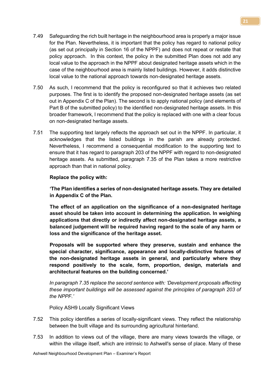- 7.49 Safeguarding the rich built heritage in the neighbourhood area is properly a major issue for the Plan. Nevertheless, it is important that the policy has regard to national policy (as set out principally in Section 16 of the NPPF) and does not repeat or restate that policy approach. In this context, the policy in the submitted Plan does not add any local value to the approach in the NPPF about designated heritage assets which in the case of the neighbourhood area is mainly listed buildings. However, it adds distinctive local value to the national approach towards non-designated heritage assets.
- 7.50 As such, I recommend that the policy is reconfigured so that it achieves two related purposes. The first is to identify the proposed non-designated heritage assets (as set out in Appendix C of the Plan). The second is to apply national policy (and elements of Part B of the submitted policy) to the identified non-designated heritage assets. In this broader framework, I recommend that the policy is replaced with one with a clear focus on non-designated heritage assets.
- 7.51 The supporting text largely reflects the approach set out in the NPPF. In particular, it acknowledges that the listed buildings in the parish are already protected. Nevertheless, I recommend a consequential modification to the supporting text to ensure that it has regard to paragraph 203 of the NPPF with regard to non-designated heritage assets. As submitted, paragraph 7.35 of the Plan takes a more restrictive approach than that in national policy.

#### Replace the policy with:

'The Plan identifies a series of non-designated heritage assets. They are detailed in Appendix C of the Plan.

The effect of an application on the significance of a non-designated heritage asset should be taken into account in determining the application. In weighing applications that directly or indirectly affect non-designated heritage assets, a balanced judgement will be required having regard to the scale of any harm or loss and the significance of the heritage asset.

 Proposals will be supported where they preserve, sustain and enhance the special character, significance, appearance and locally-distinctive features of the non-designated heritage assets in general, and particularly where they respond positively to the scale, form, proportion, design, materials and architectural features on the building concerned.'

In paragraph 7.35 replace the second sentence with: 'Development proposals affecting these important buildings will be assessed against the principles of paragraph 203 of the NPPF'

Policy ASH9 Locally Significant Views

- 7.52 This policy identifies a series of locally-significant views. They reflect the relationship between the built village and its surrounding agricultural hinterland.
- 7.53 In addition to views out of the village, there are many views towards the village, or within the village itself, which are intrinsic to Ashwell's sense of place. Many of these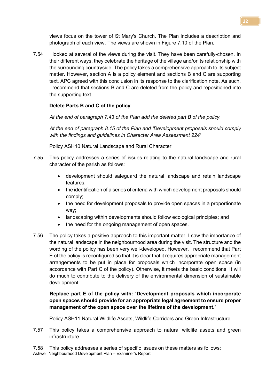views focus on the tower of St Mary's Church. The Plan includes a description and photograph of each view. The views are shown in Figure 7.10 of the Plan.

7.54 I looked at several of the views during the visit. They have been carefully-chosen. In their different ways, they celebrate the heritage of the village and/or its relationship with the surrounding countryside. The policy takes a comprehensive approach to its subject matter. However, section A is a policy element and sections B and C are supporting text. APC agreed with this conclusion in its response to the clarification note. As such, I recommend that sections B and C are deleted from the policy and repositioned into the supporting text.

# Delete Parts B and C of the policy

At the end of paragraph 7.43 of the Plan add the deleted part B of the policy.

 At the end of paragraph 8.15 of the Plan add 'Development proposals should comply with the findings and quidelines in Character Area Assessment 224'

Policy ASH10 Natural Landscape and Rural Character

- 7.55 This policy addresses a series of issues relating to the natural landscape and rural character of the parish as follows:
	- development should safeguard the natural landscape and retain landscape features;
	- the identification of a series of criteria with which development proposals should comply;
	- the need for development proposals to provide open spaces in a proportionate way;
	- landscaping within developments should follow ecological principles; and
	- the need for the ongoing management of open spaces.
- 7.56 The policy takes a positive approach to this important matter. I saw the importance of the natural landscape in the neighbourhood area during the visit. The structure and the wording of the policy has been very well-developed. However, I recommend that Part E of the policy is reconfigured so that it is clear that it requires appropriate management arrangements to be put in place for proposals which incorporate open space (in accordance with Part C of the policy). Otherwise, it meets the basic conditions. It will do much to contribute to the delivery of the environmental dimension of sustainable development.

# Replace part E of the policy with: 'Development proposals which incorporate open spaces should provide for an appropriate legal agreement to ensure proper management of the open space over the lifetime of the development.'

Policy ASH11 Natural Wildlife Assets, Wildlife Corridors and Green Infrastructure

- 7.57 This policy takes a comprehensive approach to natural wildlife assets and green infrastructure.
- Ashwell Neighbourhood Development Plan Examiner's Report 7.58 This policy addresses a series of specific issues on these matters as follows: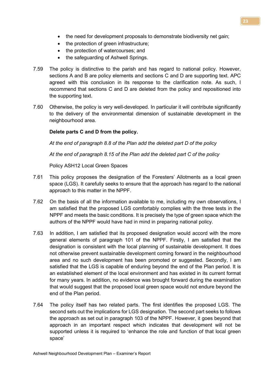- the need for development proposals to demonstrate biodiversity net gain;
- the protection of green infrastructure;
- the protection of watercourses; and
- the safeguarding of Ashwell Springs.
- 7.59 The policy is distinctive to the parish and has regard to national policy. However, sections A and B are policy elements and sections C and D are supporting text. APC agreed with this conclusion in its response to the clarification note. As such, I recommend that sections C and D are deleted from the policy and repositioned into the supporting text.
- 7.60 Otherwise, the policy is very well-developed. In particular it will contribute significantly to the delivery of the environmental dimension of sustainable development in the neighbourhood area.

#### Delete parts C and D from the policy.

At the end of paragraph 8.8 of the Plan add the deleted part D of the policy

At the end of paragraph 8.15 of the Plan add the deleted part C of the policy

Policy ASH12 Local Green Spaces

- 7.61 This policy proposes the designation of the Foresters' Allotments as a local green space (LGS). It carefully seeks to ensure that the approach has regard to the national approach to this matter in the NPPF.
- 7.62 On the basis of all the information available to me, including my own observations, I am satisfied that the proposed LGS comfortably complies with the three tests in the NPPF and meets the basic conditions. It is precisely the type of green space which the authors of the NPPF would have had in mind in preparing national policy.
- 7.63 In addition, I am satisfied that its proposed designation would accord with the more general elements of paragraph 101 of the NPPF. Firstly, I am satisfied that the designation is consistent with the local planning of sustainable development. It does not otherwise prevent sustainable development coming forward in the neighbourhood area and no such development has been promoted or suggested. Secondly, I am satisfied that the LGS is capable of enduring beyond the end of the Plan period. It is an established element of the local environment and has existed in its current format for many years. In addition, no evidence was brought forward during the examination that would suggest that the proposed local green space would not endure beyond the end of the Plan period.
- 7.64 The policy itself has two related parts. The first identifies the proposed LGS. The second sets out the implications for LGS designation. The second part seeks to follows the approach as set out in paragraph 103 of the NPPF. However, it goes beyond that approach in an important respect which indicates that development will not be supported unless it is required to 'enhance the role and function of that local green space'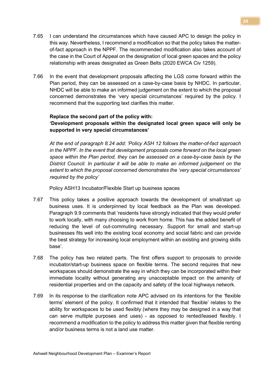- 7.65 I can understand the circumstances which have caused APC to design the policy in this way. Nevertheless, I recommend a modification so that the policy takes the matterof-fact approach in the NPPF. The recommended modification also takes account of the case in the Court of Appeal on the designation of local green spaces and the policy relationship with areas designated as Green Belts (2020 EWCA Civ 1259).
- 7.66 In the event that development proposals affecting the LGS come forward within the Plan period, they can be assessed on a case-by-case basis by NHDC. In particular, NHDC will be able to make an informed judgement on the extent to which the proposal concerned demonstrates the 'very special circumstances' required by the policy. I recommend that the supporting text clarifies this matter.

#### Replace the second part of the policy with:

#### 'Development proposals within the designated local green space will only be supported in very special circumstances'

At the end of paragraph 8.24 add: 'Policy ASH 12 follows the matter-of-fact approach in the NPPF. In the event that development proposals come forward on the local green space within the Plan period, they can be assessed on a case-by-case basis by the District Council. In particular it will be able to make an informed judgement on the extent to which the proposal concerned demonstrates the 'very special circumstances' required by the policy'

Policy ASH13 Incubator/Flexible Start up business spaces

- 7.67 This policy takes a positive approach towards the development of small/start up business uses. It is underpinned by local feedback as the Plan was developed. Paragraph 9.9 comments that 'residents have strongly indicated that they would prefer to work locally, with many choosing to work from home. This has the added benefit of reducing the level of out-commuting necessary. Support for small and start-up businesses fits well into the existing local economy and social fabric and can provide the best strategy for increasing local employment within an existing and growing skills base'.
- 7.68 The policy has two related parts. The first offers support to proposals to provide incubator/start-up business space on flexible terms. The second requires that new workspaces should demonstrate the way in which they can be incorporated within their immediate locality without generating any unacceptable impact on the amenity of residential properties and on the capacity and safety of the local highways network.
- 7.69 In its response to the clarification note APC advised on its intentions for the 'flexible terms' element of the policy. It confirmed that it intended that 'flexible' relates to the ability for workspaces to be used flexibly (where they may be designed in a way that can serve multiple purposes and uses) - as opposed to rented/leased flexibly. I recommend a modification to the policy to address this matter given that flexible renting and/or business terms is not a land use matter.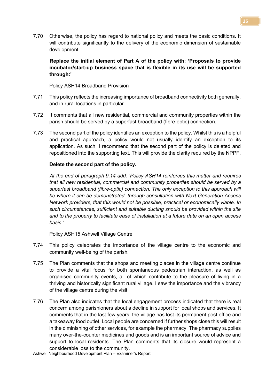7.70 Otherwise, the policy has regard to national policy and meets the basic conditions. It will contribute significantly to the delivery of the economic dimension of sustainable development.

Replace the initial element of Part A of the policy with: 'Proposals to provide incubator/start-up business space that is flexible in its use will be supported through:'

Policy ASH14 Broadband Provision

- 7.71 This policy reflects the increasing importance of broadband connectivity both generally, and in rural locations in particular.
- 7.72 It comments that all new residential, commercial and community properties within the parish should be served by a superfast broadband (fibre-optic) connection.
- 7.73 The second part of the policy identifies an exception to the policy. Whilst this is a helpful and practical approach, a policy would not usually identify an exception to its application. As such, I recommend that the second part of the policy is deleted and repositioned into the supporting text. This will provide the clarity required by the NPPF.

#### Delete the second part of the policy.

At the end of paragraph 9.14 add: 'Policy ASH14 reinforces this matter and requires that all new residential, commercial and community properties should be served by a superfast broadband (fibre-optic) connection. The only exception to this approach will be where it can be demonstrated, through consultation with Next Generation Access Network providers, that this would not be possible, practical or economically viable. In such circumstances, sufficient and suitable ducting should be provided within the site and to the property to facilitate ease of installation at a future date on an open access basis.'

Policy ASH15 Ashwell Village Centre

- 7.74 This policy celebrates the importance of the village centre to the economic and community well-being of the parish.
- 7.75 The Plan comments that the shops and meeting places in the village centre continue to provide a vital focus for both spontaneous pedestrian interaction, as well as organised community events, all of which contribute to the pleasure of living in a thriving and historically significant rural village. I saw the importance and the vibrancy of the village centre during the visit.
- 7.76 The Plan also indicates that the local engagement process indicated that there is real concern among parishioners about a decline in support for local shops and services. It comments that in the last few years, the village has lost its permanent post office and a takeaway food outlet. Local people are concerned if further shops close this will result in the diminishing of other services, for example the pharmacy. The pharmacy supplies many over-the-counter medicines and goods and is an important source of advice and support to local residents. The Plan comments that its closure would represent a considerable loss to the community.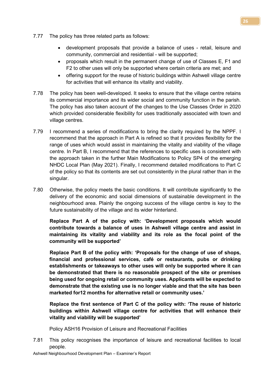- 7.77 The policy has three related parts as follows:
	- development proposals that provide a balance of uses retail, leisure and community, commercial and residential - will be supported;
	- proposals which result in the permanent change of use of Classes E, F1 and F2 to other uses will only be supported where certain criteria are met; and
	- offering support for the reuse of historic buildings within Ashwell village centre for activities that will enhance its vitality and viability.
- 7.78 The policy has been well-developed. It seeks to ensure that the village centre retains its commercial importance and its wider social and community function in the parish. The policy has also taken account of the changes to the Use Classes Order in 2020 which provided considerable flexibility for uses traditionally associated with town and village centres.
- 7.79 I recommend a series of modifications to bring the clarity required by the NPPF. I recommend that the approach in Part A is refined so that it provides flexibility for the range of uses which would assist in maintaining the vitality and viability of the village centre. In Part B, I recommend that the references to specific uses is consistent with the approach taken in the further Main Modifications to Policy SP4 of the emerging NHDC Local Plan (May 2021). Finally, I recommend detailed modifications to Part C of the policy so that its contents are set out consistently in the plural rather than in the singular.
- 7.80 Otherwise, the policy meets the basic conditions. It will contribute significantly to the delivery of the economic and social dimensions of sustainable development in the neighbourhood area. Plainly the ongoing success of the village centre is key to the future sustainability of the village and its wider hinterland.

 Replace Part A of the policy with: 'Development proposals which would contribute towards a balance of uses in Ashwell village centre and assist in maintaining its vitality and viability and its role as the focal point of the community will be supported'

 Replace Part B of the policy with: 'Proposals for the change of use of shops, financial and professional services, café or restaurants, pubs or drinking establishments or takeaways to other uses will only be supported where it can be demonstrated that there is no reasonable prospect of the site or premises being used for ongoing retail or community uses. Applicants will be expected to demonstrate that the existing use is no longer viable and that the site has been marketed for12 months for alternative retail or community uses.'

 Replace the first sentence of Part C of the policy with: 'The reuse of historic buildings within Ashwell village centre for activities that will enhance their vitality and viability will be supported'

Policy ASH16 Provision of Leisure and Recreational Facilities

7.81 This policy recognises the importance of leisure and recreational facilities to local people.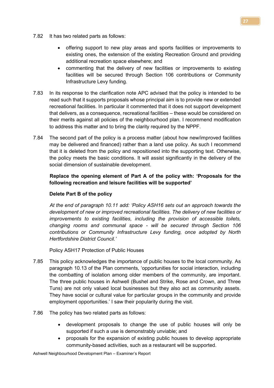- 7.82 It has two related parts as follows:
	- offering support to new play areas and sports facilities or improvements to existing ones, the extension of the existing Recreation Ground and providing additional recreation space elsewhere; and
	- commenting that the delivery of new facilities or improvements to existing facilities will be secured through Section 106 contributions or Community Infrastructure Levy funding.
- 7.83 In its response to the clarification note APC advised that the policy is intended to be read such that it supports proposals whose principal aim is to provide new or extended recreational facilities. In particular it commented that it does not support development that delivers, as a consequence, recreational facilities – these would be considered on their merits against all policies of the neighbourhood plan. I recommend modification to address this matter and to bring the clarity required by the NPPF.
- 7.84 The second part of the policy is a process matter (about how new/improved facilities may be delivered and financed) rather than a land use policy. As such I recommend that it is deleted from the policy and repositioned into the supporting text. Otherwise, the policy meets the basic conditions. It will assist significantly in the delivery of the social dimension of sustainable development.

# Replace the opening element of Part A of the policy with: 'Proposals for the following recreation and leisure facilities will be supported'

#### Delete Part B of the policy

 At the end of paragraph 10.11 add: 'Policy ASH16 sets out an approach towards the development of new or improved recreational facilities. The delivery of new facilities or improvements to existing facilities, including the provision of accessible toilets, changing rooms and communal space - will be secured through Section 106 contributions or Community Infrastructure Levy funding, once adopted by North Hertfordshire District Council.'

Policy ASH17 Protection of Public Houses

- 7.85 This policy acknowledges the importance of public houses to the local community. As paragraph 10.13 of the Plan comments, 'opportunities for social interaction, including the combatting of isolation among older members of the community, are important. The three public houses in Ashwell (Bushel and Strike, Rose and Crown, and Three Tuns) are not only valued local businesses but they also act as community assets. They have social or cultural value for particular groups in the community and provide employment opportunities.' I saw their popularity during the visit.
- 7.86 The policy has two related parts as follows:
	- development proposals to change the use of public houses will only be supported if such a use is demonstrably unviable; and
	- proposals for the expansion of existing public houses to develop appropriate community-based activities, such as a restaurant will be supported.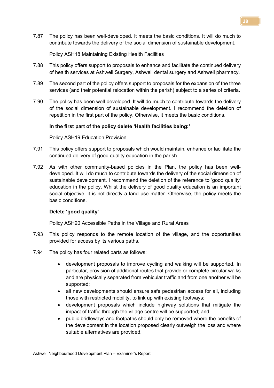7.87 The policy has been well-developed. It meets the basic conditions. It will do much to contribute towards the delivery of the social dimension of sustainable development.

#### Policy ASH18 Maintaining Existing Health Facilities

- 7.88 This policy offers support to proposals to enhance and facilitate the continued delivery of health services at Ashwell Surgery, Ashwell dental surgery and Ashwell pharmacy.
- 7.89 The second part of the policy offers support to proposals for the expansion of the three services (and their potential relocation within the parish) subject to a series of criteria.
- 7.90 The policy has been well-developed. It will do much to contribute towards the delivery of the social dimension of sustainable development. I recommend the deletion of repetition in the first part of the policy. Otherwise, it meets the basic conditions.

#### In the first part of the policy delete 'Health facilities being:'

Policy ASH19 Education Provision

- 7.91 This policy offers support to proposals which would maintain, enhance or facilitate the continued delivery of good quality education in the parish.
- 7.92 As with other community-based policies in the Plan, the policy has been welldeveloped. It will do much to contribute towards the delivery of the social dimension of sustainable development. I recommend the deletion of the reference to 'good quality' education in the policy. Whilst the delivery of good quality education is an important social objective, it is not directly a land use matter. Otherwise, the policy meets the basic conditions.

#### Delete 'good quality'

Policy ASH20 Accessible Paths in the Village and Rural Areas

- 7.93 This policy responds to the remote location of the village, and the opportunities provided for access by its various paths.
- 7.94 The policy has four related parts as follows:
	- development proposals to improve cycling and walking will be supported. In particular, provision of additional routes that provide or complete circular walks and are physically separated from vehicular traffic and from one another will be supported;
	- all new developments should ensure safe pedestrian access for all, including those with restricted mobility, to link up with existing footways;
	- development proposals which include highway solutions that mitigate the impact of traffic through the village centre will be supported; and
	- public bridleways and footpaths should only be removed where the benefits of the development in the location proposed clearly outweigh the loss and where suitable alternatives are provided.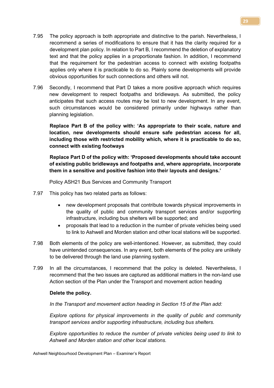- 7.95 The policy approach is both appropriate and distinctive to the parish. Nevertheless, I recommend a series of modifications to ensure that it has the clarity required for a development plan policy. In relation to Part B, I recommend the deletion of explanatory text and that the policy applies in a proportionate fashion. In addition, I recommend that the requirement for the pedestrian access to connect with existing footpaths applies only where it is practicable to do so. Plainly some developments will provide obvious opportunities for such connections and others will not.
- 7.96 Secondly, I recommend that Part D takes a more positive approach which requires new development to respect footpaths and bridleways. As submitted, the policy anticipates that such access routes may be lost to new development. In any event, such circumstances would be considered primarily under highways rather than planning legislation.

 Replace Part B of the policy with: 'As appropriate to their scale, nature and location, new developments should ensure safe pedestrian access for all, including those with restricted mobility which, where it is practicable to do so, connect with existing footways

 Replace Part D of the policy with: 'Proposed developments should take account of existing public bridleways and footpaths and, where appropriate, incorporate them in a sensitive and positive fashion into their layouts and designs.'

Policy ASH21 Bus Services and Community Transport

- 7.97 This policy has two related parts as follows:
	- new development proposals that contribute towards physical improvements in the quality of public and community transport services and/or supporting infrastructure, including bus shelters will be supported; and
	- proposals that lead to a reduction in the number of private vehicles being used to link to Ashwell and Morden station and other local stations will be supported.
- 7.98 Both elements of the policy are well-intentioned. However, as submitted, they could have unintended consequences. In any event, both elements of the policy are unlikely to be delivered through the land use planning system.
- 7.99 In all the circumstances, I recommend that the policy is deleted. Nevertheless, I recommend that the two issues are captured as additional matters in the non-land use Action section of the Plan under the Transport and movement action heading

#### Delete the policy.

In the Transport and movement action heading in Section 15 of the Plan add:

Explore options for physical improvements in the quality of public and community transport services and/or supporting infrastructure, including bus shelters.

 Explore opportunities to reduce the number of private vehicles being used to link to Ashwell and Morden station and other local stations.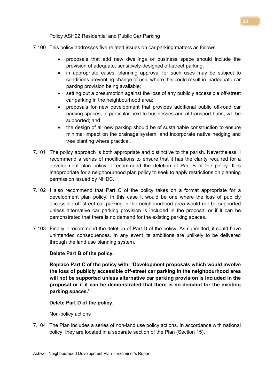Policy ASH22 Residential and Public Car Parking

- 7.100 This policy addresses five related issues on car parking matters as follows:
	- proposals that add new dwellings or business space should include the provision of adequate, sensitively-designed off-street parking;
	- in appropriate cases, planning approval for such uses may be subject to conditions preventing change of use, where this could result in inadequate car parking provision being available;
	- setting out a presumption against the loss of any publicly accessible off-street car parking in the neighbourhood area;
	- proposals for new development that provides additional public off-road car parking spaces, in particular next to businesses and at transport hubs, will be supported; and
	- the design of all new parking should be of sustainable construction to ensure minimal impact on the drainage system, and incorporate native hedging and tree planting where practical.
- 7.101 The policy approach is both appropriate and distinctive to the parish. Nevertheless, I recommend a series of modifications to ensure that it has the clarity required for a development plan policy. I recommend the deletion of Part B of the policy. It is inappropriate for a neighbourhood plan policy to seek to apply restrictions on planning permission issued by NHDC.
- 7.102 I also recommend that Part C of the policy takes on a format appropriate for a development plan policy. In this case it would be one where the loss of publicly accessible off-street car parking in the neighbourhood area would not be supported unless alternative car parking provision is included in the proposal or if it can be demonstrated that there is no demand for the existing parking spaces.
- 7.103 Finally, I recommend the deletion of Part D of the policy. As submitted, it could have unintended consequences. In any event its ambitions are unlikely to be delivered through the land use planning system.

#### Delete Part B of the policy.

Replace Part C of the policy with: 'Development proposals which would involve the loss of publicly accessible off-street car parking in the neighbourhood area will not be supported unless alternative car parking provision is included in the proposal or if it can be demonstrated that there is no demand for the existing parking spaces.'

#### Delete Part D of the policy.

Non-policy actions

7.104 The Plan includes a series of non-land use policy actions. In accordance with national policy, they are located in a separate section of the Plan (Section 15).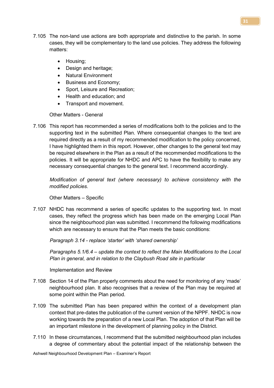- 7.105 The non-land use actions are both appropriate and distinctive to the parish. In some cases, they will be complementary to the land use policies. They address the following matters:
	- Housing;
	- Design and heritage;
	- Natural Environment
	- Business and Economy;
	- Sport, Leisure and Recreation;
	- Health and education; and
	- Transport and movement.

Other Matters - General

7.106 This report has recommended a series of modifications both to the policies and to the supporting text in the submitted Plan. Where consequential changes to the text are required directly as a result of my recommended modification to the policy concerned, I have highlighted them in this report. However, other changes to the general text may be required elsewhere in the Plan as a result of the recommended modifications to the policies. It will be appropriate for NHDC and APC to have the flexibility to make any necessary consequential changes to the general text. I recommend accordingly.

Modification of general text (where necessary) to achieve consistency with the modified policies.

Other Matters – Specific

7.107 NHDC has recommend a series of specific updates to the supporting text. In most cases, they reflect the progress which has been made on the emerging Local Plan since the neighbourhood plan was submitted. I recommend the following modifications which are necessary to ensure that the Plan meets the basic conditions:

Paragraph 3.14 - replace 'starter' with 'shared ownership'

Paragraphs 5.1/6.4 – update the context to reflect the Main Modifications to the Local Plan in general, and in relation to the Claybush Road site in particular

Implementation and Review

- 7.108 Section 14 of the Plan properly comments about the need for monitoring of any 'made' neighbourhood plan. It also recognises that a review of the Plan may be required at some point within the Plan period.
- 7.109 The submitted Plan has been prepared within the context of a development plan context that pre-dates the publication of the current version of the NPPF. NHDC is now working towards the preparation of a new Local Plan. The adoption of that Plan will be an important milestone in the development of planning policy in the District.
- 7.110 In these circumstances, I recommend that the submitted neighbourhood plan includes a degree of commentary about the potential impact of the relationship between the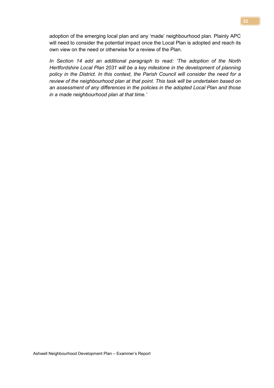adoption of the emerging local plan and any 'made' neighbourhood plan. Plainly APC will need to consider the potential impact once the Local Plan is adopted and reach its own view on the need or otherwise for a review of the Plan.

In Section 14 add an additional paragraph to read: 'The adoption of the North Hertfordshire Local Plan 2031 will be a key milestone in the development of planning policy in the District. In this context, the Parish Council will consider the need for a review of the neighbourhood plan at that point. This task will be undertaken based on an assessment of any differences in the policies in the adopted Local Plan and those in a made neighbourhood plan at that time.'